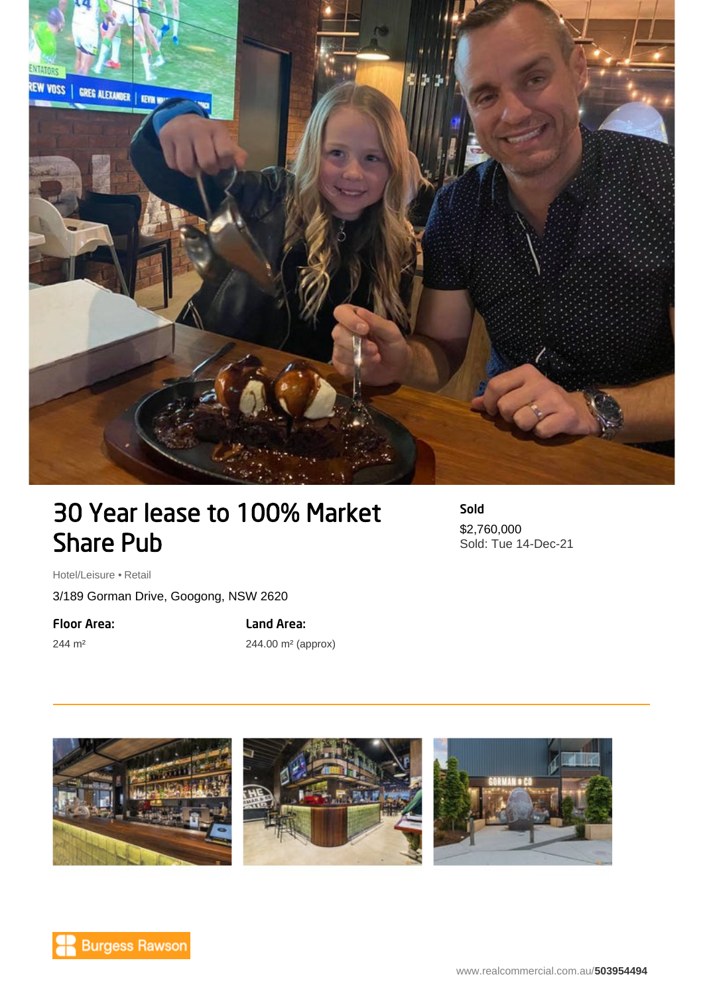

## 30 Year lease to 100% Market Share Pub

Sold \$2,760,000 Sold: Tue 14-Dec-21

Hotel/Leisure • Retail

3/189 Gorman Drive, Googong, NSW 2620

Floor Area:

244 m²

Land Area:

244.00 m² (approx)